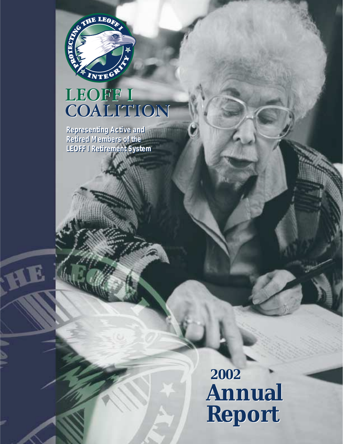

# LEOFF I<br>COALITION

**Representing Active and Representing Active and Retired Members of the Retired Members of the LEOFF I Retirement System LEOFF I Retirement System**

> **2002 2002 Annual Annual Report Report**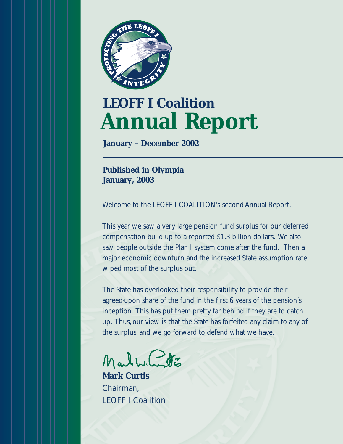

# **LEOFF I Coalition Annual Report**

**January – December 2002**

**Published in Olympia January, 2003**

Welcome to the LEOFF I COALITION's second Annual Report.

This year we saw a very large pension fund surplus for our deferred compensation build up to a reported \$1.3 billion dollars. We also saw people outside the Plan I system come after the fund. Then a major economic downturn and the increased State assumption rate wiped most of the surplus out.

The State has overlooked their responsibility to provide their agreed-upon share of the fund in the first 6 years of the pension's inception. This has put them pretty far behind if they are to catch up. Thus, our view is that the State has forfeited any claim to any of the surplus, and we go forward to defend what we have.

Marthe Contro

**Mark Curtis** Chairman, LEOFF I Coalition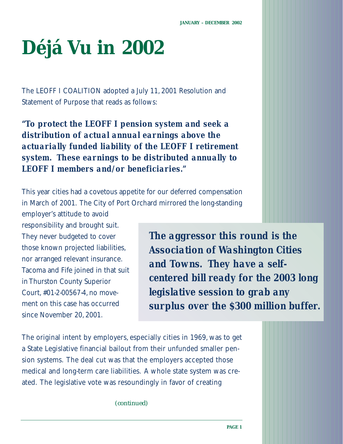# **Déjá Vu in 2002**

The LEOFF I COALITION adopted a July 11, 2001 Resolution and Statement of Purpose that reads as follows:

*"To protect the LEOFF I pension system and seek a distribution of actual annual earnings above the actuarially funded liability of the LEOFF I retirement system. These earnings to be distributed annually to LEOFF I members and/or beneficiaries."*

This year cities had a covetous appetite for our deferred compensation in March of 2001. The City of Port Orchard mirrored the long-standing

employer's attitude to avoid responsibility and brought suit. They never budgeted to cover those known projected liabilities, nor arranged relevant insurance. Tacoma and Fife joined in that suit in Thurston County Superior Court, #01-2-00567-4, no movement on this case has occurred since November 20, 2001.

*The aggressor this round is the Association of Washington Cities and Towns. They have a selfcentered bill ready for the 2003 long legislative session to grab any surplus over the \$300 million buffer.*

The original intent by employers, especially cities in 1969, was to get a State Legislative financial bailout from their unfunded smaller pension systems. The deal cut was that the employers accepted those medical and long-term care liabilities. A whole state system was created. The legislative vote was resoundingly in favor of creating

*(continued)*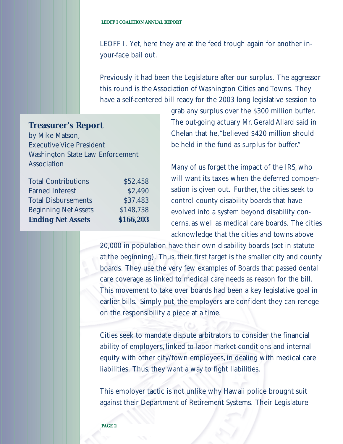LEOFF I. Yet, here they are at the feed trough again for another inyour-face bail out.

Previously it had been the Legislature after our surplus. The aggressor this round is the Association of Washington Cities and Towns. They have a self-centered bill ready for the 2003 long legislative session to

**Treasurer's Report** by Mike Matson, Executive Vice President Washington State Law Enforcement Association

| <b>Total Contributions</b>  | \$52,458  |
|-----------------------------|-----------|
| <b>Earned Interest</b>      | \$2,490   |
| <b>Total Disbursements</b>  | \$37,483  |
| <b>Beginning Net Assets</b> | \$148,738 |
| <b>Ending Net Assets</b>    | \$166,203 |

grab any surplus over the \$300 million buffer. The out-going actuary Mr. Gerald Allard said in Chelan that he,"believed \$420 million should be held in the fund as surplus for buffer."

Many of us forget the impact of the IRS, who will want its taxes when the deferred compensation is given out. Further, the cities seek to control county disability boards that have evolved into a system beyond disability concerns, as well as medical care boards. The cities acknowledge that the cities and towns above

20,000 in population have their own disability boards (set in statute at the beginning). Thus, their first target is the smaller city and county boards. They use the very few examples of Boards that passed dental care coverage as linked to medical care needs as reason for the bill. This movement to take over boards had been a key legislative goal in earlier bills. Simply put, the employers are confident they can renege on the responsibility a piece at a time.

Cities seek to mandate dispute arbitrators to consider the financial ability of employers, linked to labor market conditions and internal equity with other city/town employees, in dealing with medical care liabilities. Thus, they want a way to fight liabilities.

This employer tactic is not unlike why Hawaii police brought suit against their Department of Retirement Systems. Their Legislature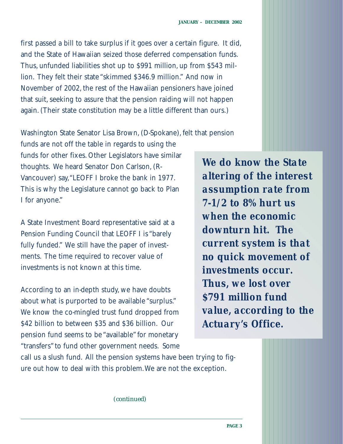first passed a bill to take surplus if it goes over a certain figure. It did, and the State of Hawaiian seized those deferred compensation funds. Thus, unfunded liabilities shot up to \$991 million, up from \$543 million. They felt their state "skimmed \$346.9 million." And now in November of 2002, the rest of the Hawaiian pensioners have joined that suit, seeking to assure that the pension raiding will not happen again. (Their state constitution may be a little different than ours.)

Washington State Senator Lisa Brown, (D-Spokane), felt that pension

funds are not off the table in regards to using the funds for other fixes. Other Legislators have similar thoughts. We heard Senator Don Carlson, (R-Vancouver) say,"LEOFF I broke the bank in 1977. This is why the Legislature cannot go back to Plan I for anyone."

A State Investment Board representative said at a Pension Funding Council that LEOFF I is "barely fully funded." We still have the paper of investments. The time required to recover value of investments is not known at this time.

According to an in-depth study, we have doubts about what is purported to be available "surplus." We know the co-mingled trust fund dropped from \$42 billion to between \$35 and \$36 billion. Our pension fund seems to be "available" for monetary "transfers" to fund other government needs. Some

*We do know the State altering of the interest assumption rate from 7-1/2 to 8% hurt us when the economic downturn hit. The current system is that no quick movement of investments occur. Thus, we lost over \$791 million fund value, according to the Actuary's Office.*

call us a slush fund. All the pension systems have been trying to figure out how to deal with this problem.We are not the exception.

*(continued)*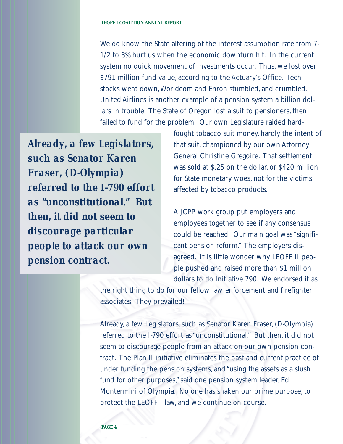We do know the State altering of the interest assumption rate from 7- 1/2 to 8% hurt us when the economic downturn hit. In the current system no quick movement of investments occur. Thus, we lost over \$791 million fund value, according to the Actuary's Office. Tech stocks went down,Worldcom and Enron stumbled, and crumbled. United Airlines is another example of a pension system a billion dollars in trouble. The State of Oregon lost a suit to pensioners, then failed to fund for the problem. Our own Legislature raided hard-

*Already, a few Legislators, such as Senator Karen Fraser, (D-Olympia) referred to the I-790 effort as "unconstitutional." But then, it did not seem to discourage particular people to attack our own pension contract.*

fought tobacco suit money, hardly the intent of that suit, championed by our own Attorney General Christine Gregoire. That settlement was sold at \$.25 on the dollar, or \$420 million for State monetary woes, not for the victims affected by tobacco products.

A JCPP work group put employers and employees together to see if any consensus could be reached. Our main goal was "significant pension reform." The employers disagreed. It is little wonder why LEOFF II people pushed and raised more than \$1 million dollars to do Initiative 790. We endorsed it as

the right thing to do for our fellow law enforcement and firefighter associates. They prevailed!

Already, a few Legislators, such as Senator Karen Fraser, (D-Olympia) referred to the I-790 effort as "unconstitutional." But then, it did not seem to discourage people from an attack on our own pension contract. The Plan II initiative eliminates the past and current practice of under funding the pension systems, and "using the assets as a slush fund for other purposes," said one pension system leader, Ed Montermini of Olympia. No one has shaken our prime purpose, to protect the LEOFF I law, and we continue on course.